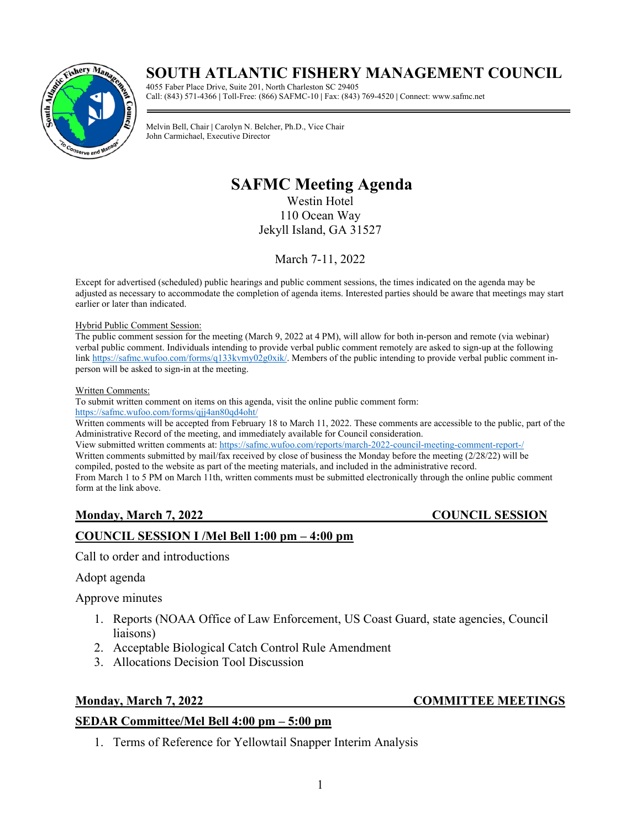# **SOUTH ATLANTIC FISHERY MANAGEMENT COUNCIL**



4055 Faber Place Drive, Suite 201, North Charleston SC 29405 Call: (843) 571-4366 **|** Toll-Free: (866) SAFMC-10 **|** Fax: (843) 769-4520 **|** Connect: www.safmc.net

**SAFMC Meeting Agenda** John Carmichael, Executive Director Melvin Bell, Chair **|** Carolyn N. Belcher, Ph.D., Vice Chair

# **SAFMC Meeting Agenda**

Westin Hotel 110 Ocean Way Jekyll Island, GA 31527

March 7-11, 2022

Except for advertised (scheduled) public hearings and public comment sessions, the times indicated on the agenda may be adjusted as necessary to accommodate the completion of agenda items. Interested parties should be aware that meetings may start earlier or later than indicated.

### Hybrid Public Comment Session:

The public comment session for the meeting (March 9, 2022 at 4 PM), will allow for both in-person and remote (via webinar) verbal public comment. Individuals intending to provide verbal public comment remotely are asked to sign-up at the following link [https://safmc.wufoo.com/forms/q133kvmy02g0xik/.](https://safmc.wufoo.com/forms/q133kvmy02g0xik/) Members of the public intending to provide verbal public comment inperson will be asked to sign-in at the meeting.

### Written Comments:

To submit written comment on items on this agenda, visit the online public comment form:

<https://safmc.wufoo.com/forms/qjj4an80qd4oht/>

Written comments will be accepted from February 18 to March 11, 2022. These comments are accessible to the public, part of the Administrative Record of the meeting, and immediately available for Council consideration.

View submitted written comments at: <https://safmc.wufoo.com/reports/march-2022-council-meeting-comment-report-/>

Written comments submitted by mail/fax received by close of business the Monday before the meeting (2/28/22) will be compiled, posted to the website as part of the meeting materials, and included in the administrative record.

From March 1 to 5 PM on March 11th, written comments must be submitted electronically through the online public comment form at the link above.

### **Monday, March 7, 2022** COUNCIL SESSION

### **COUNCIL SESSION I /Mel Bell 1:00 pm – 4:00 pm**

Call to order and introductions

### Adopt agenda

Approve minutes

- 1. Reports (NOAA Office of Law Enforcement, US Coast Guard, state agencies, Council liaisons)
- 2. Acceptable Biological Catch Control Rule Amendment
- 3. Allocations Decision Tool Discussion

### **SEDAR Committee/Mel Bell 4:00 pm – 5:00 pm**

- **Monday, March 7, 2022 COMMITTEE MEETINGS**
	- 1. Terms of Reference for Yellowtail Snapper Interim Analysis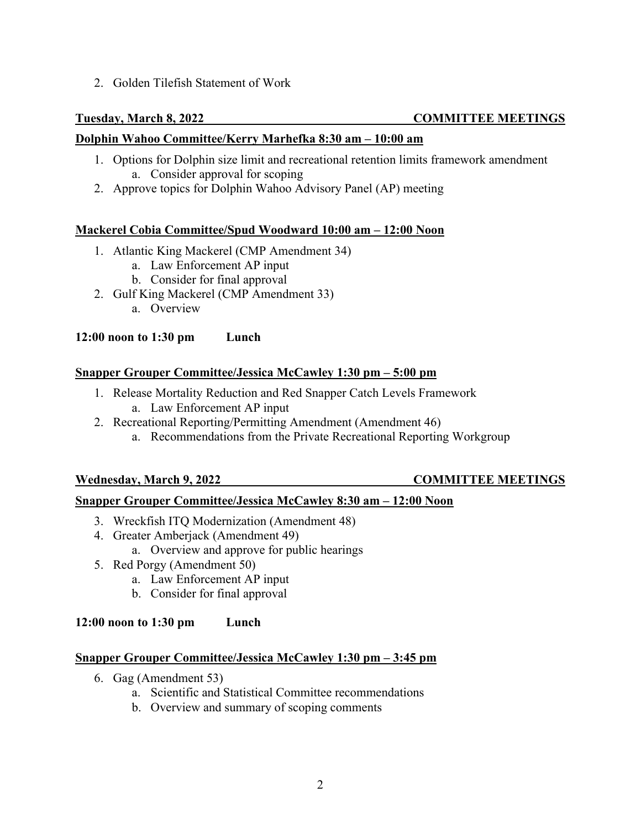2. Golden Tilefish Statement of Work

# **Tuesday, March 8, 2022 COMMITTEE MEETINGS**

# **Dolphin Wahoo Committee/Kerry Marhefka 8:30 am – 10:00 am**

- 1. Options for Dolphin size limit and recreational retention limits framework amendment a. Consider approval for scoping
- 2. Approve topics for Dolphin Wahoo Advisory Panel (AP) meeting

## **Mackerel Cobia Committee/Spud Woodward 10:00 am – 12:00 Noon**

- 1. Atlantic King Mackerel (CMP Amendment 34)
	- a. Law Enforcement AP input
	- b. Consider for final approval
- 2. Gulf King Mackerel (CMP Amendment 33) a. Overview

# **12:00 noon to 1:30 pm Lunch**

## **Snapper Grouper Committee/Jessica McCawley 1:30 pm – 5:00 pm**

- 1. Release Mortality Reduction and Red Snapper Catch Levels Framework a. Law Enforcement AP input
- 2. Recreational Reporting/Permitting Amendment (Amendment 46)
	- a. Recommendations from the Private Recreational Reporting Workgroup

# **Wednesday, March 9, 2022 COMMITTEE MEETINGS**

# **Snapper Grouper Committee/Jessica McCawley 8:30 am – 12:00 Noon**

- 3. Wreckfish ITQ Modernization (Amendment 48)
- 4. Greater Amberjack (Amendment 49) a. Overview and approve for public hearings
- 5. Red Porgy (Amendment 50)
	- a. Law Enforcement AP input
		- b. Consider for final approval

### **12:00 noon to 1:30 pm Lunch**

### **Snapper Grouper Committee/Jessica McCawley 1:30 pm – 3:45 pm**

- 6. Gag (Amendment 53)
	- a. Scientific and Statistical Committee recommendations
	- b. Overview and summary of scoping comments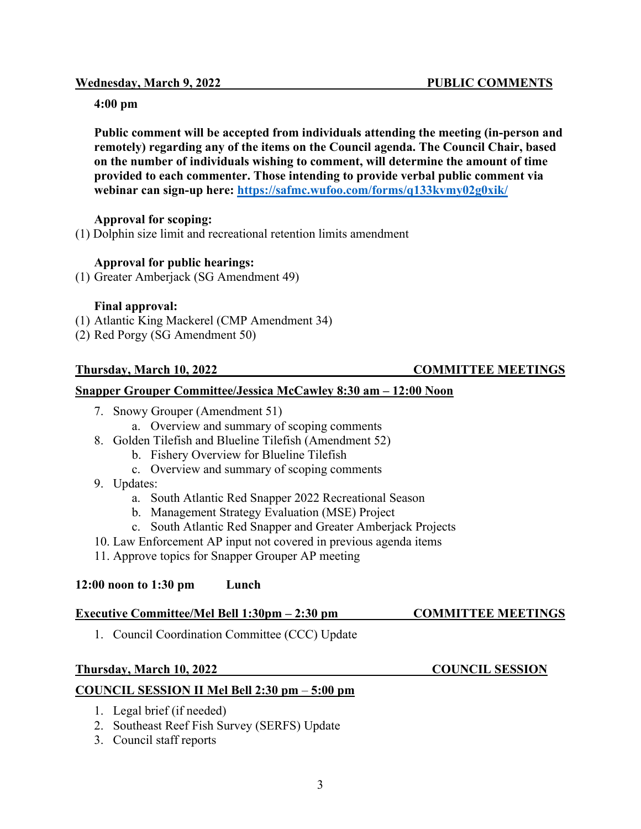### **Wednesday, March 9, 2022 PUBLIC COMMENTS**

# **4:00 pm**

**Public comment will be accepted from individuals attending the meeting (in-person and remotely) regarding any of the items on the Council agenda. The Council Chair, based on the number of individuals wishing to comment, will determine the amount of time provided to each commenter. Those intending to provide verbal public comment via webinar can sign-up here:<https://safmc.wufoo.com/forms/q133kvmy02g0xik/>**

# **Approval for scoping:**

(1) Dolphin size limit and recreational retention limits amendment

# **Approval for public hearings:**

(1) Greater Amberjack (SG Amendment 49)

# **Final approval:**

- (1) Atlantic King Mackerel (CMP Amendment 34)
- (2) Red Porgy (SG Amendment 50)

# **Snapper Grouper Committee/Jessica McCawley 8:30 am – 12:00 Noon**

- 7. Snowy Grouper (Amendment 51)
	- a. Overview and summary of scoping comments
- 8. Golden Tilefish and Blueline Tilefish (Amendment 52)
	- b. Fishery Overview for Blueline Tilefish
	- c. Overview and summary of scoping comments
- 9. Updates:
	- a. South Atlantic Red Snapper 2022 Recreational Season
	- b. Management Strategy Evaluation (MSE) Project
	- c. South Atlantic Red Snapper and Greater Amberjack Projects
- 10. Law Enforcement AP input not covered in previous agenda items
- 11. Approve topics for Snapper Grouper AP meeting

# **12:00 noon to 1:30 pm Lunch**

# **Executive Committee/Mel Bell 1:30pm – 2:30 pm COMMITTEE MEETINGS**

1. Council Coordination Committee (CCC) Update

### **Thursday, March 10, 2022 COUNCIL SESSION**

# **COUNCIL SESSION II Mel Bell 2:30 pm** – **5:00 pm**

- 1. Legal brief (if needed)
- 2. Southeast Reef Fish Survey (SERFS) Update
- 3. Council staff reports

# **Thursday, March 10, 2022 COMMITTEE MEETINGS**